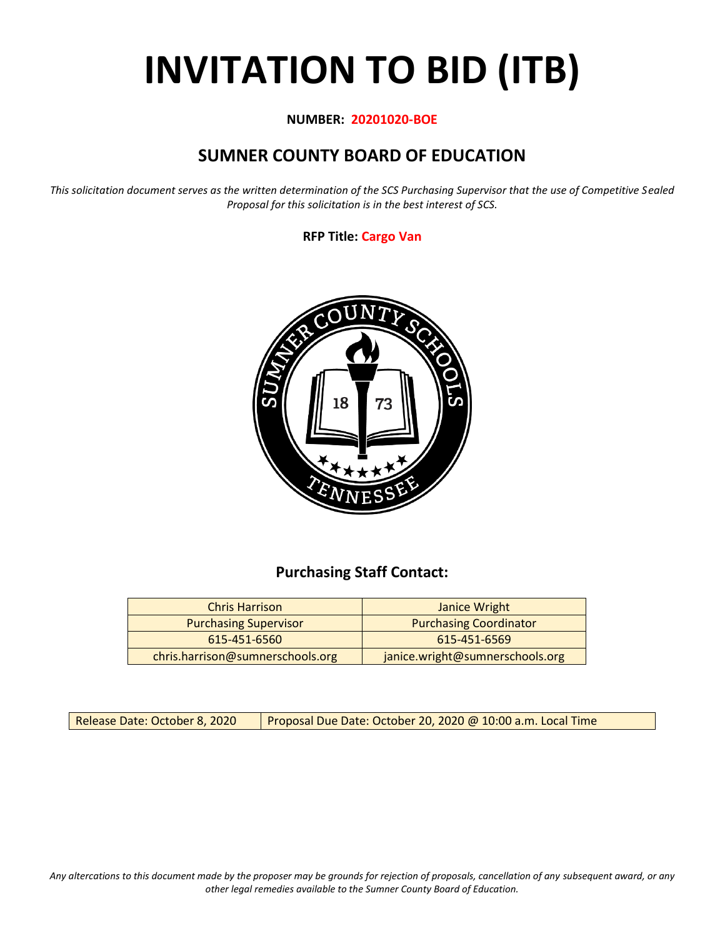# **INVITATION TO BID (ITB)**

## **NUMBER: 20201020-BOE**

# **SUMNER COUNTY BOARD OF EDUCATION**

*This solicitation document serves as the written determination of the SCS Purchasing Supervisor that the use of Competitive Sealed Proposal for this solicitation is in the best interest of SCS.*

## **RFP Title: Cargo Van**



# **Purchasing Staff Contact:**

| <b>Chris Harrison</b>            | Janice Wright                   |
|----------------------------------|---------------------------------|
| <b>Purchasing Supervisor</b>     | <b>Purchasing Coordinator</b>   |
| 615-451-6560                     | 615-451-6569                    |
| chris.harrison@sumnerschools.org | janice.wright@sumnerschools.org |

Release Date: October 8, 2020 | Proposal Due Date: October 20, 2020 @ 10:00 a.m. Local Time

*Any altercations to this document made by the proposer may be grounds for rejection of proposals, cancellation of any subsequent award, or any other legal remedies available to the Sumner County Board of Education.*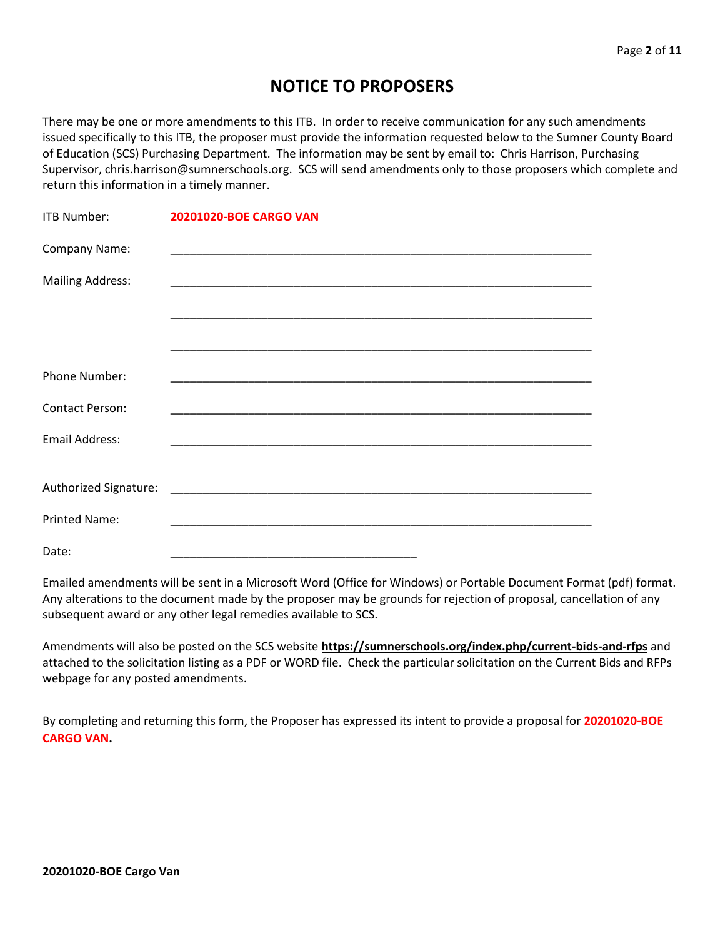# **NOTICE TO PROPOSERS**

There may be one or more amendments to this ITB. In order to receive communication for any such amendments issued specifically to this ITB, the proposer must provide the information requested below to the Sumner County Board of Education (SCS) Purchasing Department. The information may be sent by email to: Chris Harrison, Purchasing Supervisor, chris.harrison@sumnerschools.org. SCS will send amendments only to those proposers which complete and return this information in a timely manner.

| <b>ITB Number:</b>      | 20201020-BOE CARGO VAN |
|-------------------------|------------------------|
| Company Name:           |                        |
| <b>Mailing Address:</b> |                        |
|                         |                        |
|                         |                        |
| <b>Phone Number:</b>    |                        |
| <b>Contact Person:</b>  |                        |
| Email Address:          |                        |
|                         |                        |
|                         |                        |
| <b>Printed Name:</b>    |                        |
| Date:                   |                        |

Emailed amendments will be sent in a Microsoft Word (Office for Windows) or Portable Document Format (pdf) format. Any alterations to the document made by the proposer may be grounds for rejection of proposal, cancellation of any subsequent award or any other legal remedies available to SCS.

Amendments will also be posted on the SCS website **https://sumnerschools.org/index.php/current-bids-and-rfps** and attached to the solicitation listing as a PDF or WORD file. Check the particular solicitation on the Current Bids and RFPs webpage for any posted amendments.

By completing and returning this form, the Proposer has expressed its intent to provide a proposal for **20201020-BOE CARGO VAN.**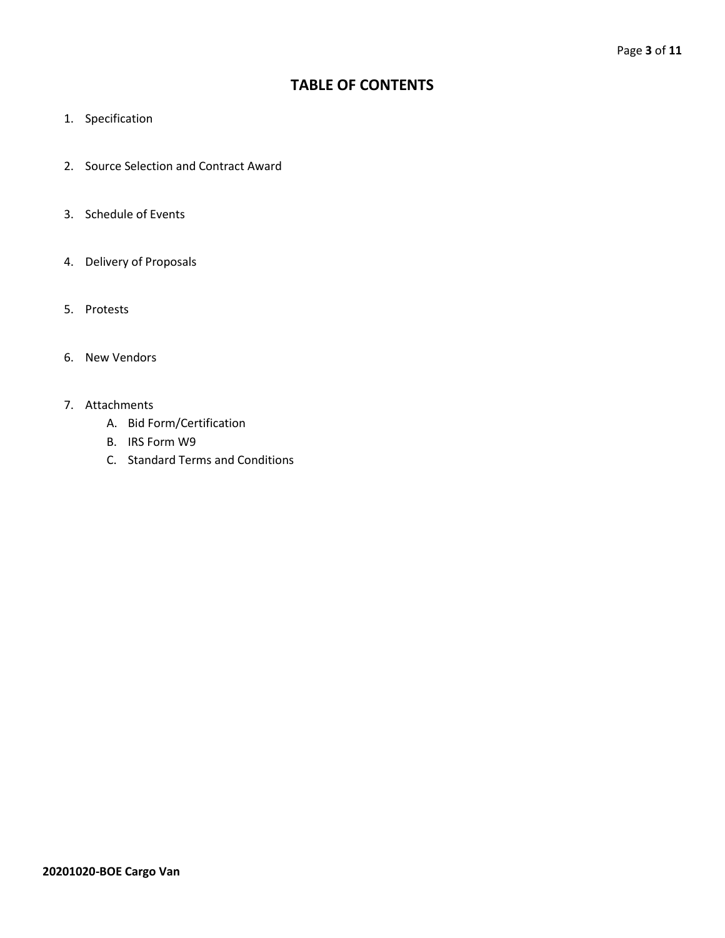## **TABLE OF CONTENTS**

- 1. Specification
- 2. Source Selection and Contract Award
- 3. Schedule of Events
- 4. Delivery of Proposals
- 5. Protests
- 6. New Vendors
- 7. Attachments
	- A. Bid Form/Certification
	- B. IRS Form W9
	- C. Standard Terms and Conditions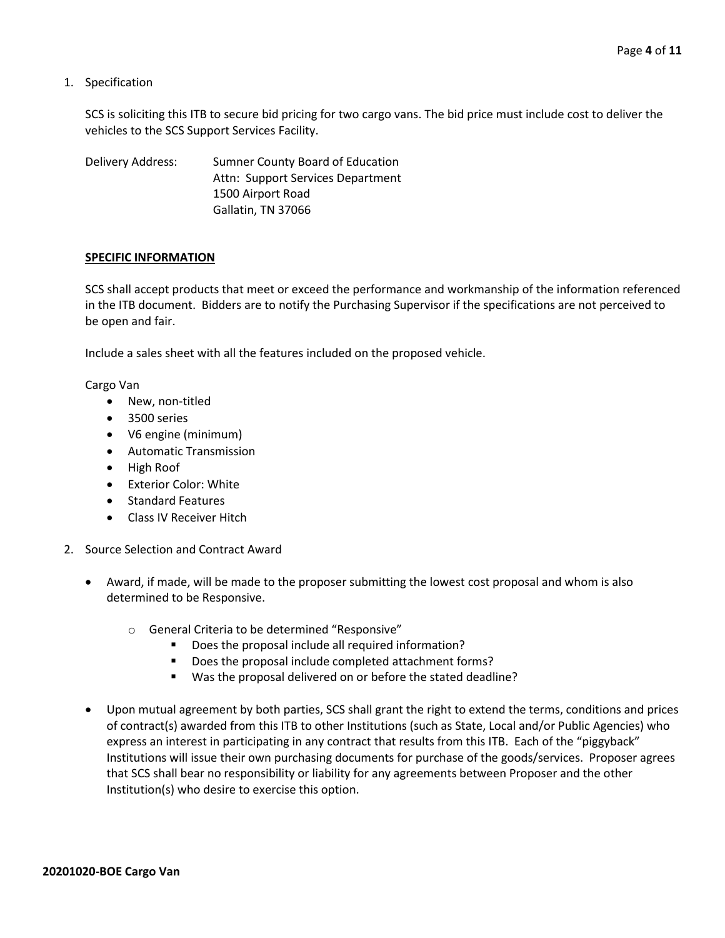1. Specification

SCS is soliciting this ITB to secure bid pricing for two cargo vans. The bid price must include cost to deliver the vehicles to the SCS Support Services Facility.

Delivery Address: Sumner County Board of Education Attn: Support Services Department 1500 Airport Road Gallatin, TN 37066

#### **SPECIFIC INFORMATION**

SCS shall accept products that meet or exceed the performance and workmanship of the information referenced in the ITB document. Bidders are to notify the Purchasing Supervisor if the specifications are not perceived to be open and fair.

Include a sales sheet with all the features included on the proposed vehicle.

Cargo Van

- New, non-titled
- 3500 series
- V6 engine (minimum)
- Automatic Transmission
- High Roof
- Exterior Color: White
- Standard Features
- Class IV Receiver Hitch
- 2. Source Selection and Contract Award
	- Award, if made, will be made to the proposer submitting the lowest cost proposal and whom is also determined to be Responsive.
		- o General Criteria to be determined "Responsive"
			- Does the proposal include all required information?
			- Does the proposal include completed attachment forms?
			- Was the proposal delivered on or before the stated deadline?
	- Upon mutual agreement by both parties, SCS shall grant the right to extend the terms, conditions and prices of contract(s) awarded from this ITB to other Institutions (such as State, Local and/or Public Agencies) who express an interest in participating in any contract that results from this ITB. Each of the "piggyback" Institutions will issue their own purchasing documents for purchase of the goods/services. Proposer agrees that SCS shall bear no responsibility or liability for any agreements between Proposer and the other Institution(s) who desire to exercise this option.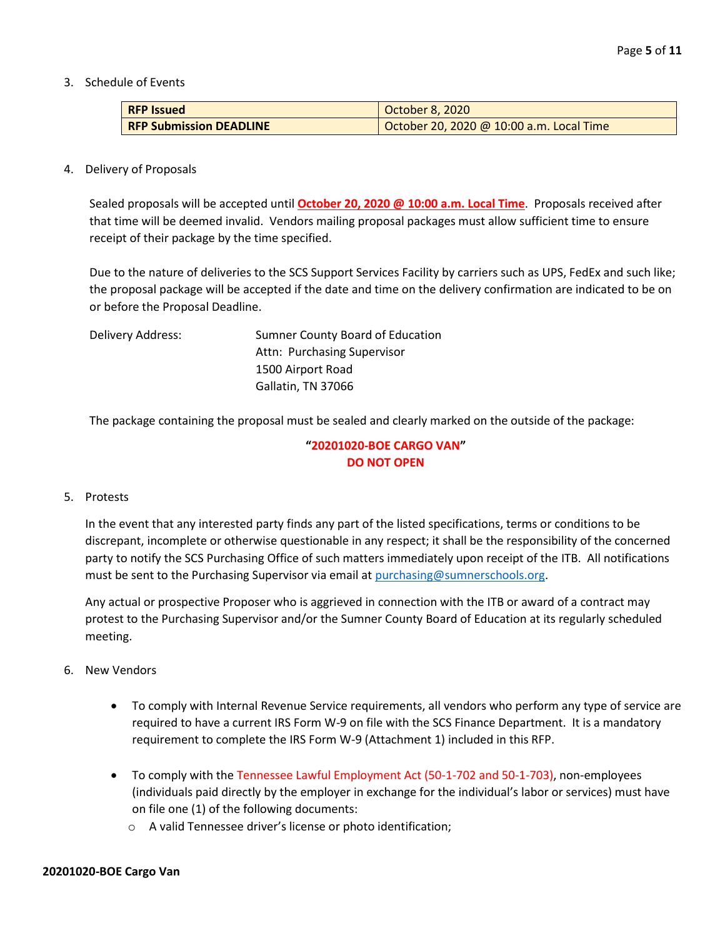3. Schedule of Events

| <b>RFP</b> Issued              | October 8, 2020                          |  |  |  |  |  |  |
|--------------------------------|------------------------------------------|--|--|--|--|--|--|
| <b>RFP Submission DEADLINE</b> | October 20, 2020 @ 10:00 a.m. Local Time |  |  |  |  |  |  |

4. Delivery of Proposals

Sealed proposals will be accepted until **October 20, 2020 @ 10:00 a.m. Local Time**. Proposals received after that time will be deemed invalid. Vendors mailing proposal packages must allow sufficient time to ensure receipt of their package by the time specified.

Due to the nature of deliveries to the SCS Support Services Facility by carriers such as UPS, FedEx and such like; the proposal package will be accepted if the date and time on the delivery confirmation are indicated to be on or before the Proposal Deadline.

| Delivery Address: | Sumner County Board of Education |
|-------------------|----------------------------------|
|                   | Attn: Purchasing Supervisor      |
|                   | 1500 Airport Road                |
|                   | Gallatin, TN 37066               |
|                   |                                  |

The package containing the proposal must be sealed and clearly marked on the outside of the package:

## **"20201020-BOE CARGO VAN" DO NOT OPEN**

#### 5. Protests

In the event that any interested party finds any part of the listed specifications, terms or conditions to be discrepant, incomplete or otherwise questionable in any respect; it shall be the responsibility of the concerned party to notify the SCS Purchasing Office of such matters immediately upon receipt of the ITB. All notifications must be sent to the Purchasing Supervisor via email at [purchasing@sumnerschools.org.](mailto:purchasing@sumnerschools.org)

Any actual or prospective Proposer who is aggrieved in connection with the ITB or award of a contract may protest to the Purchasing Supervisor and/or the Sumner County Board of Education at its regularly scheduled meeting.

- 6. New Vendors
	- To comply with Internal Revenue Service requirements, all vendors who perform any type of service are required to have a current IRS Form W-9 on file with the SCS Finance Department. It is a mandatory requirement to complete the IRS Form W-9 (Attachment 1) included in this RFP.
	- To comply with the Tennessee Lawful Employment Act (50-1-702 and 50-1-703), non-employees (individuals paid directly by the employer in exchange for the individual's labor or services) must have on file one (1) of the following documents:
		- o A valid Tennessee driver's license or photo identification;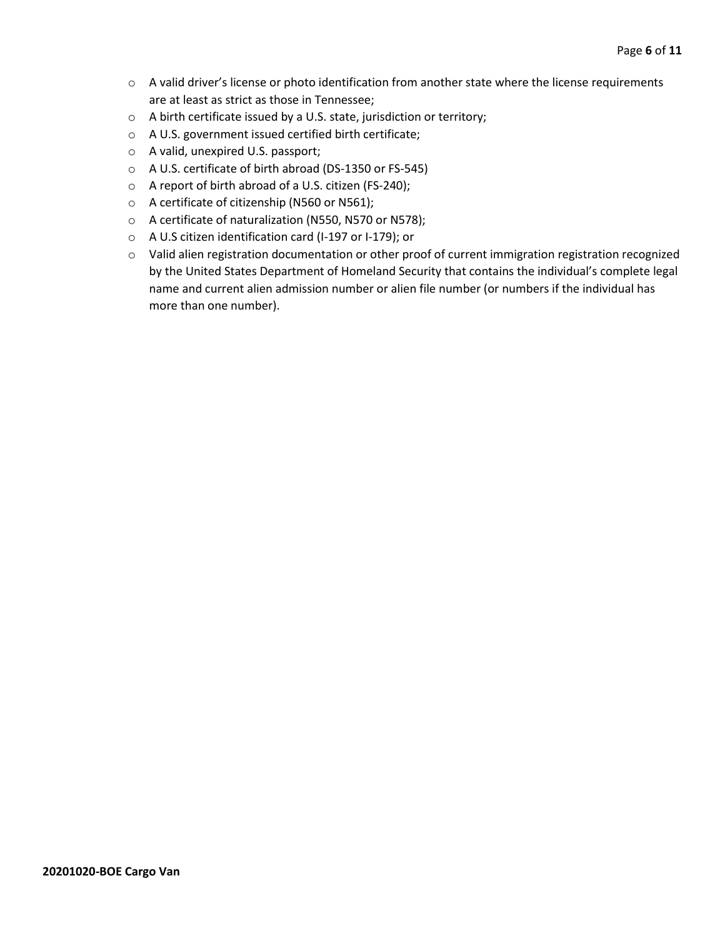- o A valid driver's license or photo identification from another state where the license requirements are at least as strict as those in Tennessee;
- o A birth certificate issued by a U.S. state, jurisdiction or territory;
- o A U.S. government issued certified birth certificate;
- o A valid, unexpired U.S. passport;
- o A U.S. certificate of birth abroad (DS-1350 or FS-545)
- o A report of birth abroad of a U.S. citizen (FS-240);
- o A certificate of citizenship (N560 or N561);
- o A certificate of naturalization (N550, N570 or N578);
- o A U.S citizen identification card (I-197 or I-179); or
- o Valid alien registration documentation or other proof of current immigration registration recognized by the United States Department of Homeland Security that contains the individual's complete legal name and current alien admission number or alien file number (or numbers if the individual has more than one number).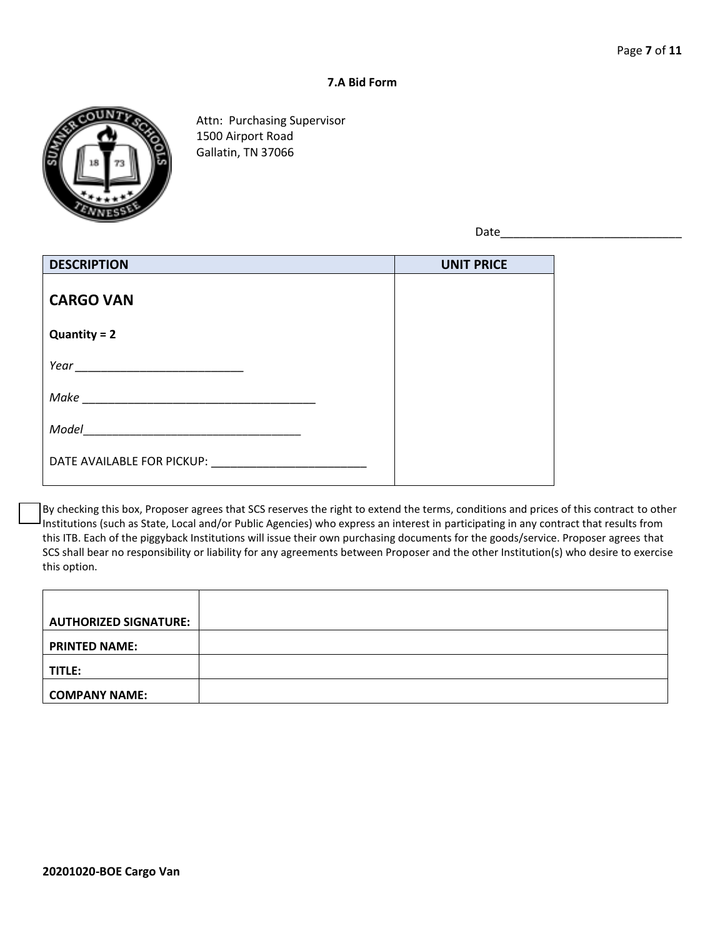#### **7.A Bid Form**



Attn: Purchasing Supervisor 1500 Airport Road Gallatin, TN 37066

Date\_\_\_\_\_\_\_\_\_\_\_\_\_\_\_\_\_\_\_\_\_\_\_\_\_\_\_\_

| <b>DESCRIPTION</b>         | <b>UNIT PRICE</b> |
|----------------------------|-------------------|
| <b>CARGO VAN</b>           |                   |
| $Quantity = 2$             |                   |
|                            |                   |
| Make                       |                   |
| Model                      |                   |
| DATE AVAILABLE FOR PICKUP: |                   |

By checking this box, Proposer agrees that SCS reserves the right to extend the terms, conditions and prices of this contract to other Institutions (such as State, Local and/or Public Agencies) who express an interest in participating in any contract that results from this ITB. Each of the piggyback Institutions will issue their own purchasing documents for the goods/service. Proposer agrees that SCS shall bear no responsibility or liability for any agreements between Proposer and the other Institution(s) who desire to exercise this option.

| <b>AUTHORIZED SIGNATURE:</b> |  |
|------------------------------|--|
|                              |  |
| <b>PRINTED NAME:</b>         |  |
|                              |  |
| TITLE:                       |  |
|                              |  |
| <b>COMPANY NAME:</b>         |  |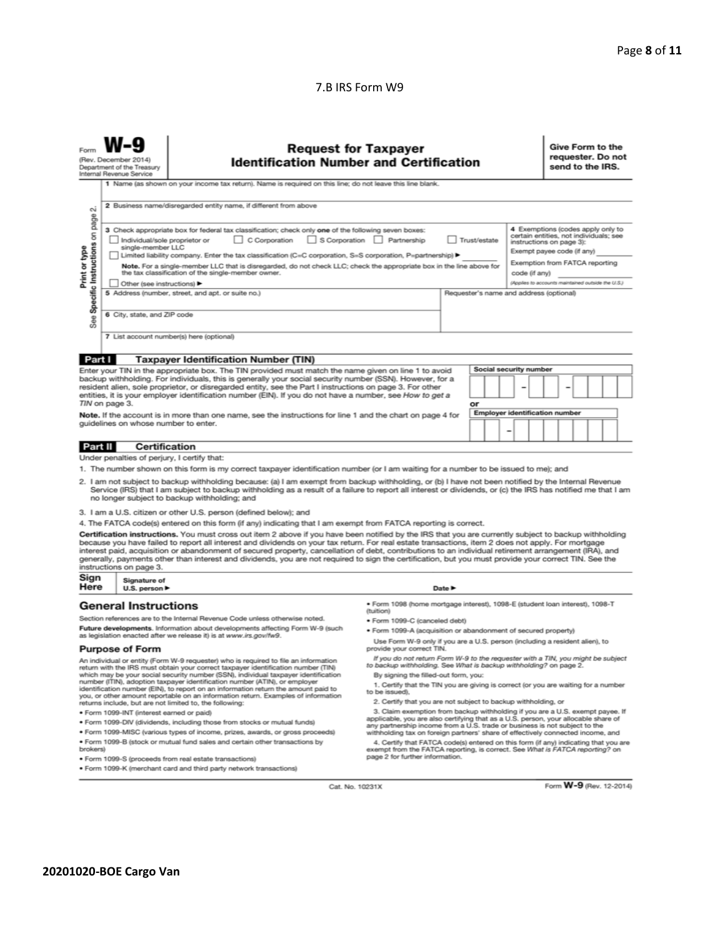### 7.B IRS Form W9

| σû                                                                                                                                                                                                                                                                                                                                                                                                                                                                                                                                                                                                                                                                                                                                                                                                        | <b>Request for Taxpayer</b><br>(Rev. December 2014)<br><b>Identification Number and Certification</b><br>Department of the Treasury<br>Internal Revenue Service<br>1 Name (as shown on your income tax return). Name is required on this line; do not leave this line blank.<br>2 Business name/disregarded entity name, if different from above |                                                                                                                                                                                                                                                                                                                                                                                                                                                                                                                                                                                                                               |                                                                                                                                                                                                                                                                                                                                                                       |                            |  |  |                                                                                                                                                                                                                              |                        | Give Form to the<br>requester. Do not<br>send to the IRS. |  |  |  |  |
|-----------------------------------------------------------------------------------------------------------------------------------------------------------------------------------------------------------------------------------------------------------------------------------------------------------------------------------------------------------------------------------------------------------------------------------------------------------------------------------------------------------------------------------------------------------------------------------------------------------------------------------------------------------------------------------------------------------------------------------------------------------------------------------------------------------|--------------------------------------------------------------------------------------------------------------------------------------------------------------------------------------------------------------------------------------------------------------------------------------------------------------------------------------------------|-------------------------------------------------------------------------------------------------------------------------------------------------------------------------------------------------------------------------------------------------------------------------------------------------------------------------------------------------------------------------------------------------------------------------------------------------------------------------------------------------------------------------------------------------------------------------------------------------------------------------------|-----------------------------------------------------------------------------------------------------------------------------------------------------------------------------------------------------------------------------------------------------------------------------------------------------------------------------------------------------------------------|----------------------------|--|--|------------------------------------------------------------------------------------------------------------------------------------------------------------------------------------------------------------------------------|------------------------|-----------------------------------------------------------|--|--|--|--|
| page<br>3 Check appropriate box for federal tax classification; check only one of the following seven boxes:<br>Specific Instructions on<br>C Corporation<br>S Corporation Partnership<br>Individual/sole proprietor or<br>Trust/estate<br>single-member LLC<br>Print or type<br>Limited liability company. Enter the tax classification (C=C corporation, S=S corporation, P=partnership) ▶<br>Note. For a single-member LLC that is disregarded, do not check LLC; check the appropriate box in the line above for<br>the tax classification of the single-member owner.<br>code (if anv)<br>Other (see instructions)<br>5 Address (number, street, and apt. or suite no.)<br>Requester's name and address (optional)<br>6 City, state, and ZIP code<br>See<br>7 List account number(s) here (optional) |                                                                                                                                                                                                                                                                                                                                                  |                                                                                                                                                                                                                                                                                                                                                                                                                                                                                                                                                                                                                               |                                                                                                                                                                                                                                                                                                                                                                       |                            |  |  | 4 Exemptions (codes apply only to<br>certain entities, not individuals; see<br>instructions on page 3):<br>Exempt payee code (if any)<br>Exemption from FATCA reporting<br>(Applies to accounts maintained outside the U.S.) |                        |                                                           |  |  |  |  |
| Part I                                                                                                                                                                                                                                                                                                                                                                                                                                                                                                                                                                                                                                                                                                                                                                                                    |                                                                                                                                                                                                                                                                                                                                                  | <b>Taxpayer Identification Number (TIN)</b>                                                                                                                                                                                                                                                                                                                                                                                                                                                                                                                                                                                   |                                                                                                                                                                                                                                                                                                                                                                       |                            |  |  |                                                                                                                                                                                                                              |                        |                                                           |  |  |  |  |
|                                                                                                                                                                                                                                                                                                                                                                                                                                                                                                                                                                                                                                                                                                                                                                                                           |                                                                                                                                                                                                                                                                                                                                                  |                                                                                                                                                                                                                                                                                                                                                                                                                                                                                                                                                                                                                               |                                                                                                                                                                                                                                                                                                                                                                       |                            |  |  |                                                                                                                                                                                                                              | Social security number |                                                           |  |  |  |  |
| Enter your TIN in the appropriate box. The TIN provided must match the name given on line 1 to avoid<br>backup withholding. For individuals, this is generally your social security number (SSN). However, for a<br>resident alien, sole proprietor, or disregarded entity, see the Part I instructions on page 3. For other<br>entities, it is your employer identification number (EIN). If you do not have a number, see How to get a<br>TIN on page 3.<br>or                                                                                                                                                                                                                                                                                                                                          |                                                                                                                                                                                                                                                                                                                                                  |                                                                                                                                                                                                                                                                                                                                                                                                                                                                                                                                                                                                                               |                                                                                                                                                                                                                                                                                                                                                                       |                            |  |  |                                                                                                                                                                                                                              |                        |                                                           |  |  |  |  |
| <b>Employer identification number</b><br>Note. If the account is in more than one name, see the instructions for line 1 and the chart on page 4 for<br>guidelines on whose number to enter.                                                                                                                                                                                                                                                                                                                                                                                                                                                                                                                                                                                                               |                                                                                                                                                                                                                                                                                                                                                  |                                                                                                                                                                                                                                                                                                                                                                                                                                                                                                                                                                                                                               |                                                                                                                                                                                                                                                                                                                                                                       |                            |  |  |                                                                                                                                                                                                                              |                        |                                                           |  |  |  |  |
|                                                                                                                                                                                                                                                                                                                                                                                                                                                                                                                                                                                                                                                                                                                                                                                                           |                                                                                                                                                                                                                                                                                                                                                  |                                                                                                                                                                                                                                                                                                                                                                                                                                                                                                                                                                                                                               |                                                                                                                                                                                                                                                                                                                                                                       |                            |  |  |                                                                                                                                                                                                                              |                        |                                                           |  |  |  |  |
| <b>Part II</b>                                                                                                                                                                                                                                                                                                                                                                                                                                                                                                                                                                                                                                                                                                                                                                                            | <b>Certification</b>                                                                                                                                                                                                                                                                                                                             |                                                                                                                                                                                                                                                                                                                                                                                                                                                                                                                                                                                                                               |                                                                                                                                                                                                                                                                                                                                                                       |                            |  |  |                                                                                                                                                                                                                              |                        |                                                           |  |  |  |  |
| Under penalties of perjury, I certify that:<br>1. The number shown on this form is my correct taxpayer identification number (or I am waiting for a number to be issued to me); and<br>2. I am not subject to backup withholding because: (a) I am exempt from backup withholding, or (b) I have not been notified by the Internal Revenue<br>Service (IRS) that I am subject to backup withholding as a result of a failure to report all interest or dividends, or (c) the IRS has notified me that I am<br>no longer subject to backup withholding; and<br>3. I am a U.S. citizen or other U.S. person (defined below); and                                                                                                                                                                            |                                                                                                                                                                                                                                                                                                                                                  |                                                                                                                                                                                                                                                                                                                                                                                                                                                                                                                                                                                                                               |                                                                                                                                                                                                                                                                                                                                                                       |                            |  |  |                                                                                                                                                                                                                              |                        |                                                           |  |  |  |  |
|                                                                                                                                                                                                                                                                                                                                                                                                                                                                                                                                                                                                                                                                                                                                                                                                           |                                                                                                                                                                                                                                                                                                                                                  | 4. The FATCA code(s) entered on this form (if any) indicating that I am exempt from FATCA reporting is correct.                                                                                                                                                                                                                                                                                                                                                                                                                                                                                                               |                                                                                                                                                                                                                                                                                                                                                                       |                            |  |  |                                                                                                                                                                                                                              |                        |                                                           |  |  |  |  |
|                                                                                                                                                                                                                                                                                                                                                                                                                                                                                                                                                                                                                                                                                                                                                                                                           | instructions on page 3.                                                                                                                                                                                                                                                                                                                          | Certification instructions. You must cross out item 2 above if you have been notified by the IRS that you are currently subject to backup withholding<br>because you have failed to report all interest and dividends on your tax return. For real estate transactions, item 2 does not apply. For mortgage<br>interest paid, acquisition or abandonment of secured property, cancellation of debt, contributions to an individual retirement arrangement (IRA), and<br>generally, payments other than interest and dividends, you are not required to sign the certification, but you must provide your correct TIN. See the |                                                                                                                                                                                                                                                                                                                                                                       |                            |  |  |                                                                                                                                                                                                                              |                        |                                                           |  |  |  |  |
| Sign<br>Here                                                                                                                                                                                                                                                                                                                                                                                                                                                                                                                                                                                                                                                                                                                                                                                              | Signature of                                                                                                                                                                                                                                                                                                                                     |                                                                                                                                                                                                                                                                                                                                                                                                                                                                                                                                                                                                                               |                                                                                                                                                                                                                                                                                                                                                                       |                            |  |  |                                                                                                                                                                                                                              |                        |                                                           |  |  |  |  |
|                                                                                                                                                                                                                                                                                                                                                                                                                                                                                                                                                                                                                                                                                                                                                                                                           | U.S. person $\blacktriangleright$<br><b>General Instructions</b>                                                                                                                                                                                                                                                                                 |                                                                                                                                                                                                                                                                                                                                                                                                                                                                                                                                                                                                                               | · Form 1098 (home mortgage interest), 1098-E (student loan interest), 1098-T<br>(tuition)                                                                                                                                                                                                                                                                             | Date $\blacktriangleright$ |  |  |                                                                                                                                                                                                                              |                        |                                                           |  |  |  |  |
|                                                                                                                                                                                                                                                                                                                                                                                                                                                                                                                                                                                                                                                                                                                                                                                                           |                                                                                                                                                                                                                                                                                                                                                  | Section references are to the Internal Revenue Code unless otherwise noted.                                                                                                                                                                                                                                                                                                                                                                                                                                                                                                                                                   | • Form 1099-C (canceled debt)                                                                                                                                                                                                                                                                                                                                         |                            |  |  |                                                                                                                                                                                                                              |                        |                                                           |  |  |  |  |
| Future developments. Information about developments affecting Form W-9 (such<br>as legislation enacted after we release it) is at www.irs.gov/fw9.                                                                                                                                                                                                                                                                                                                                                                                                                                                                                                                                                                                                                                                        |                                                                                                                                                                                                                                                                                                                                                  | . Form 1099-A (acquisition or abandonment of secured property)                                                                                                                                                                                                                                                                                                                                                                                                                                                                                                                                                                |                                                                                                                                                                                                                                                                                                                                                                       |                            |  |  |                                                                                                                                                                                                                              |                        |                                                           |  |  |  |  |
|                                                                                                                                                                                                                                                                                                                                                                                                                                                                                                                                                                                                                                                                                                                                                                                                           | <b>Purpose of Form</b>                                                                                                                                                                                                                                                                                                                           |                                                                                                                                                                                                                                                                                                                                                                                                                                                                                                                                                                                                                               | Use Form W-9 only if you are a U.S. person (including a resident alien), to<br>provide your correct TIN.                                                                                                                                                                                                                                                              |                            |  |  |                                                                                                                                                                                                                              |                        |                                                           |  |  |  |  |
| An individual or entity (Form W-9 requester) who is required to file an information<br>return with the IRS must obtain your correct taxpayer identification number (TIN)<br>which may be your social security number (SSN), individual taxpayer identification<br>number (ITIN), adoption taxpayer identification number (ATIN), or employer<br>identification number (EIN), to report on an information return the amount paid to<br>you, or other amount reportable on an information return. Examples of information<br>returns include, but are not limited to, the following:                                                                                                                                                                                                                        |                                                                                                                                                                                                                                                                                                                                                  |                                                                                                                                                                                                                                                                                                                                                                                                                                                                                                                                                                                                                               | If you do not return Form W-9 to the requester with a TIN, you might be subject<br>to backup withholding. See What is backup withholding? on page 2.<br>By signing the filled-out form, you:<br>1. Certify that the TIN you are giving is correct (or you are waiting for a number<br>to be issued).<br>2. Certify that you are not subject to backup withholding, or |                            |  |  |                                                                                                                                                                                                                              |                        |                                                           |  |  |  |  |
|                                                                                                                                                                                                                                                                                                                                                                                                                                                                                                                                                                                                                                                                                                                                                                                                           | · Form 1099-INT (interest earned or paid)                                                                                                                                                                                                                                                                                                        |                                                                                                                                                                                                                                                                                                                                                                                                                                                                                                                                                                                                                               | 3. Claim exemption from backup withholding if you are a U.S. exempt payee. If<br>applicable, you are also certifying that as a U.S. person, your allocable share of                                                                                                                                                                                                   |                            |  |  |                                                                                                                                                                                                                              |                        |                                                           |  |  |  |  |
| . Form 1099-DIV (dividends, including those from stocks or mutual funds)                                                                                                                                                                                                                                                                                                                                                                                                                                                                                                                                                                                                                                                                                                                                  |                                                                                                                                                                                                                                                                                                                                                  |                                                                                                                                                                                                                                                                                                                                                                                                                                                                                                                                                                                                                               | any partnership income from a U.S. trade or business is not subject to the                                                                                                                                                                                                                                                                                            |                            |  |  |                                                                                                                                                                                                                              |                        |                                                           |  |  |  |  |
| . Form 1099-MISC (various types of income, prizes, awards, or gross proceeds)<br>withholding tax on foreign partners' share of effectively connected income, and<br>. Form 1099-B (stock or mutual fund sales and certain other transactions by<br>4. Certify that FATCA code(s) entered on this form (if any) indicating that you are<br>brokers)<br>exempt from the FATCA reporting, is correct. See What is FATCA reporting? on                                                                                                                                                                                                                                                                                                                                                                        |                                                                                                                                                                                                                                                                                                                                                  |                                                                                                                                                                                                                                                                                                                                                                                                                                                                                                                                                                                                                               |                                                                                                                                                                                                                                                                                                                                                                       |                            |  |  |                                                                                                                                                                                                                              |                        |                                                           |  |  |  |  |
| page 2 for further information.<br>· Form 1099-S (proceeds from real estate transactions)                                                                                                                                                                                                                                                                                                                                                                                                                                                                                                                                                                                                                                                                                                                 |                                                                                                                                                                                                                                                                                                                                                  |                                                                                                                                                                                                                                                                                                                                                                                                                                                                                                                                                                                                                               |                                                                                                                                                                                                                                                                                                                                                                       |                            |  |  |                                                                                                                                                                                                                              |                        |                                                           |  |  |  |  |

Cat. No. 10231X

Form W-9 (Rev. 12-2014)

· Form 1099-K (merchant card and third party network transactions)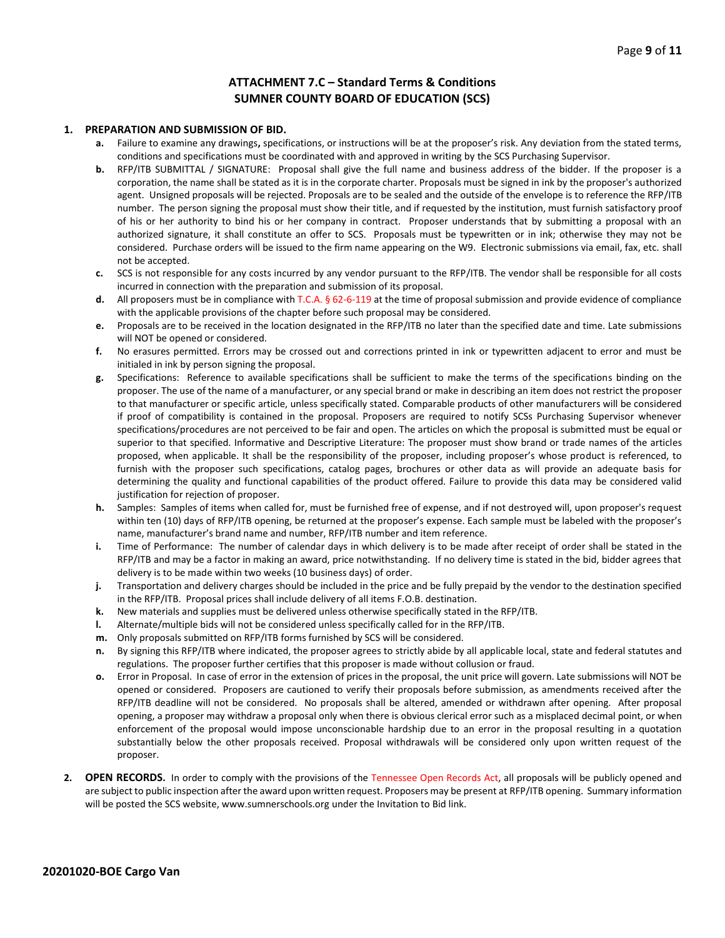#### **ATTACHMENT 7.C – Standard Terms & Conditions SUMNER COUNTY BOARD OF EDUCATION (SCS)**

#### **1. PREPARATION AND SUBMISSION OF BID.**

- **a.** Failure to examine any drawings**,** specifications, or instructions will be at the proposer's risk. Any deviation from the stated terms, conditions and specifications must be coordinated with and approved in writing by the SCS Purchasing Supervisor.
- **b.** RFP/ITB SUBMITTAL / SIGNATURE: Proposal shall give the full name and business address of the bidder. If the proposer is a corporation, the name shall be stated as it is in the corporate charter. Proposals must be signed in ink by the proposer's authorized agent. Unsigned proposals will be rejected. Proposals are to be sealed and the outside of the envelope is to reference the RFP/ITB number. The person signing the proposal must show their title, and if requested by the institution, must furnish satisfactory proof of his or her authority to bind his or her company in contract. Proposer understands that by submitting a proposal with an authorized signature, it shall constitute an offer to SCS. Proposals must be typewritten or in ink; otherwise they may not be considered. Purchase orders will be issued to the firm name appearing on the W9. Electronic submissions via email, fax, etc. shall not be accepted.
- **c.** SCS is not responsible for any costs incurred by any vendor pursuant to the RFP/ITB. The vendor shall be responsible for all costs incurred in connection with the preparation and submission of its proposal.
- **d.** All proposers must be in compliance with T.C.A. § 62-6-119 at the time of proposal submission and provide evidence of compliance with the applicable provisions of the chapter before such proposal may be considered.
- **e.** Proposals are to be received in the location designated in the RFP/ITB no later than the specified date and time. Late submissions will NOT be opened or considered.
- **f.** No erasures permitted. Errors may be crossed out and corrections printed in ink or typewritten adjacent to error and must be initialed in ink by person signing the proposal.
- **g.** Specifications: Reference to available specifications shall be sufficient to make the terms of the specifications binding on the proposer. The use of the name of a manufacturer, or any special brand or make in describing an item does not restrict the proposer to that manufacturer or specific article, unless specifically stated. Comparable products of other manufacturers will be considered if proof of compatibility is contained in the proposal. Proposers are required to notify SCSs Purchasing Supervisor whenever specifications/procedures are not perceived to be fair and open. The articles on which the proposal is submitted must be equal or superior to that specified. Informative and Descriptive Literature: The proposer must show brand or trade names of the articles proposed, when applicable. It shall be the responsibility of the proposer, including proposer's whose product is referenced, to furnish with the proposer such specifications, catalog pages, brochures or other data as will provide an adequate basis for determining the quality and functional capabilities of the product offered. Failure to provide this data may be considered valid justification for rejection of proposer.
- **h.** Samples: Samples of items when called for, must be furnished free of expense, and if not destroyed will, upon proposer's request within ten (10) days of RFP/ITB opening, be returned at the proposer's expense. Each sample must be labeled with the proposer's name, manufacturer's brand name and number, RFP/ITB number and item reference.
- **i.** Time of Performance: The number of calendar days in which delivery is to be made after receipt of order shall be stated in the RFP/ITB and may be a factor in making an award, price notwithstanding. If no delivery time is stated in the bid, bidder agrees that delivery is to be made within two weeks (10 business days) of order.
- **j.** Transportation and delivery charges should be included in the price and be fully prepaid by the vendor to the destination specified in the RFP/ITB. Proposal prices shall include delivery of all items F.O.B. destination.
- **k.** New materials and supplies must be delivered unless otherwise specifically stated in the RFP/ITB.
- **l.** Alternate/multiple bids will not be considered unless specifically called for in the RFP/ITB.
- **m.** Only proposals submitted on RFP/ITB forms furnished by SCS will be considered.
- **n.** By signing this RFP/ITB where indicated, the proposer agrees to strictly abide by all applicable local, state and federal statutes and regulations. The proposer further certifies that this proposer is made without collusion or fraud.
- **o.** Error in Proposal. In case of error in the extension of prices in the proposal, the unit price will govern. Late submissions will NOT be opened or considered. Proposers are cautioned to verify their proposals before submission, as amendments received after the RFP/ITB deadline will not be considered. No proposals shall be altered, amended or withdrawn after opening. After proposal opening, a proposer may withdraw a proposal only when there is obvious clerical error such as a misplaced decimal point, or when enforcement of the proposal would impose unconscionable hardship due to an error in the proposal resulting in a quotation substantially below the other proposals received. Proposal withdrawals will be considered only upon written request of the proposer.
- **2. OPEN RECORDS.** In order to comply with the provisions of the Tennessee Open Records Act, all proposals will be publicly opened and are subject to public inspection after the award upon written request. Proposers may be present at RFP/ITB opening. Summary information will be posted the SCS website, www.sumnerschools.org under the Invitation to Bid link.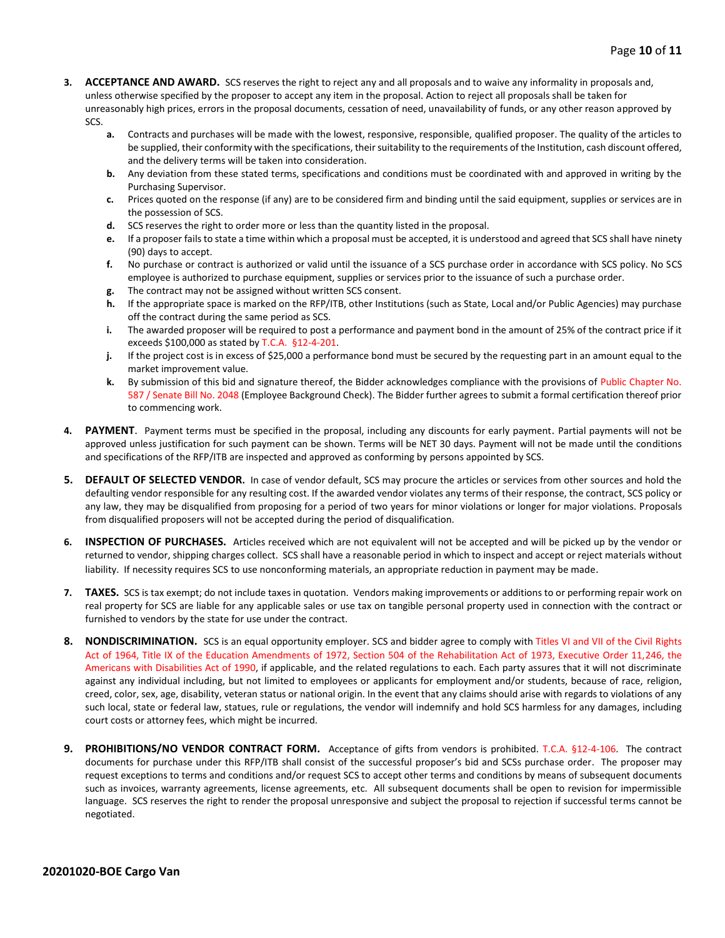- **3. ACCEPTANCE AND AWARD.** SCS reserves the right to reject any and all proposals and to waive any informality in proposals and, unless otherwise specified by the proposer to accept any item in the proposal. Action to reject all proposals shall be taken for unreasonably high prices, errors in the proposal documents, cessation of need, unavailability of funds, or any other reason approved by SCS.
	- **a.** Contracts and purchases will be made with the lowest, responsive, responsible, qualified proposer. The quality of the articles to be supplied, their conformity with the specifications, their suitability to the requirements of the Institution, cash discount offered, and the delivery terms will be taken into consideration.
	- **b.** Any deviation from these stated terms, specifications and conditions must be coordinated with and approved in writing by the Purchasing Supervisor.
	- **c.** Prices quoted on the response (if any) are to be considered firm and binding until the said equipment, supplies or services are in the possession of SCS.
	- **d.** SCS reserves the right to order more or less than the quantity listed in the proposal.
	- **e.** If a proposer fails to state a time within which a proposal must be accepted, it is understood and agreed that SCS shall have ninety (90) days to accept.
	- **f.** No purchase or contract is authorized or valid until the issuance of a SCS purchase order in accordance with SCS policy. No SCS employee is authorized to purchase equipment, supplies or services prior to the issuance of such a purchase order.
	- **g.** The contract may not be assigned without written SCS consent.
	- **h.** If the appropriate space is marked on the RFP/ITB, other Institutions (such as State, Local and/or Public Agencies) may purchase off the contract during the same period as SCS.
	- **i.** The awarded proposer will be required to post a performance and payment bond in the amount of 25% of the contract price if it exceeds \$100,000 as stated by T.C.A. §12-4-201.
	- **j.** If the project cost is in excess of \$25,000 a performance bond must be secured by the requesting part in an amount equal to the market improvement value.
	- **k.** By submission of this bid and signature thereof, the Bidder acknowledges compliance with the provisions of Public Chapter No. 587 / Senate Bill No. 2048 (Employee Background Check). The Bidder further agrees to submit a formal certification thereof prior to commencing work.
- **4. PAYMENT**. Payment terms must be specified in the proposal, including any discounts for early payment. Partial payments will not be approved unless justification for such payment can be shown. Terms will be NET 30 days. Payment will not be made until the conditions and specifications of the RFP/ITB are inspected and approved as conforming by persons appointed by SCS.
- **5. DEFAULT OF SELECTED VENDOR.** In case of vendor default, SCS may procure the articles or services from other sources and hold the defaulting vendor responsible for any resulting cost. If the awarded vendor violates any terms of their response, the contract, SCS policy or any law, they may be disqualified from proposing for a period of two years for minor violations or longer for major violations. Proposals from disqualified proposers will not be accepted during the period of disqualification.
- **6. INSPECTION OF PURCHASES.** Articles received which are not equivalent will not be accepted and will be picked up by the vendor or returned to vendor, shipping charges collect. SCS shall have a reasonable period in which to inspect and accept or reject materials without liability. If necessity requires SCS to use nonconforming materials, an appropriate reduction in payment may be made.
- **7. TAXES.** SCS is tax exempt; do not include taxes in quotation. Vendors making improvements or additions to or performing repair work on real property for SCS are liable for any applicable sales or use tax on tangible personal property used in connection with the contract or furnished to vendors by the state for use under the contract.
- **8. NONDISCRIMINATION.** SCS is an equal opportunity employer. SCS and bidder agree to comply with Titles VI and VII of the Civil Rights Act of 1964, Title IX of the Education Amendments of 1972, Section 504 of the Rehabilitation Act of 1973, Executive Order 11,246, the Americans with Disabilities Act of 1990, if applicable, and the related regulations to each. Each party assures that it will not discriminate against any individual including, but not limited to employees or applicants for employment and/or students, because of race, religion, creed, color, sex, age, disability, veteran status or national origin. In the event that any claims should arise with regards to violations of any such local, state or federal law, statues, rule or regulations, the vendor will indemnify and hold SCS harmless for any damages, including court costs or attorney fees, which might be incurred.
- **9. PROHIBITIONS/NO VENDOR CONTRACT FORM.** Acceptance of gifts from vendors is prohibited. T.C.A. §12-4-106. The contract documents for purchase under this RFP/ITB shall consist of the successful proposer's bid and SCSs purchase order. The proposer may request exceptions to terms and conditions and/or request SCS to accept other terms and conditions by means of subsequent documents such as invoices, warranty agreements, license agreements, etc. All subsequent documents shall be open to revision for impermissible language. SCS reserves the right to render the proposal unresponsive and subject the proposal to rejection if successful terms cannot be negotiated.